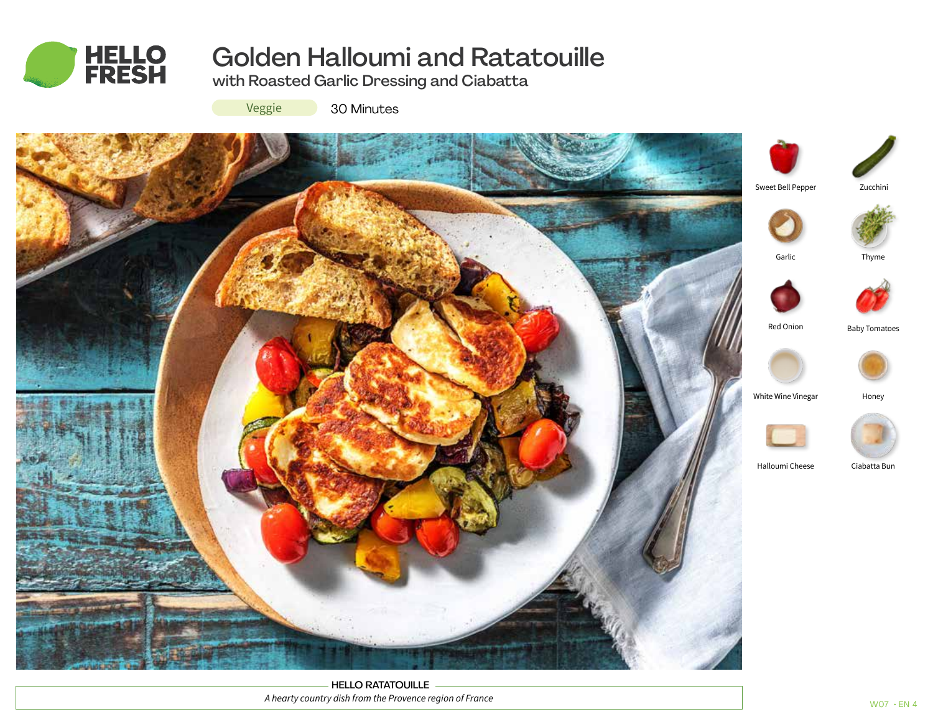

# Golden Halloumi and Ratatouille

with Roasted Garlic Dressing and Ciabatta

Veggie 30 Minutes



HELLO RATATOUILLE *A hearty country dish from the Provence region of France*